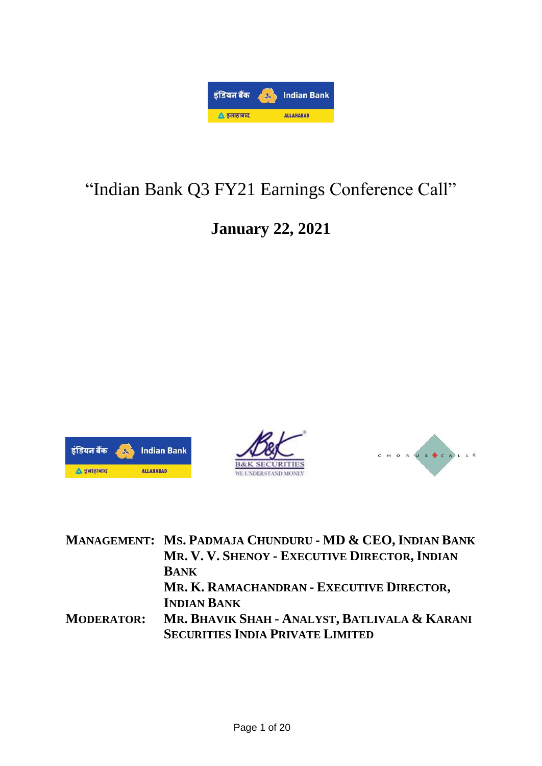

# "Indian Bank Q3 FY21 Earnings Conference Call"

## **January 22, 2021**







|                   | MANAGEMENT: MS. PADMAJA CHUNDURU - MD & CEO, INDIAN BANK |
|-------------------|----------------------------------------------------------|
|                   | MR. V. V. SHENOY - EXECUTIVE DIRECTOR, INDIAN            |
|                   | <b>BANK</b>                                              |
|                   | MR. K. RAMACHANDRAN - EXECUTIVE DIRECTOR,                |
|                   | <b>INDIAN BANK</b>                                       |
| <b>MODERATOR:</b> | MR. BHAVIK SHAH - ANALYST, BATLIVALA & KARANI            |
|                   | <b>SECURITIES INDIA PRIVATE LIMITED</b>                  |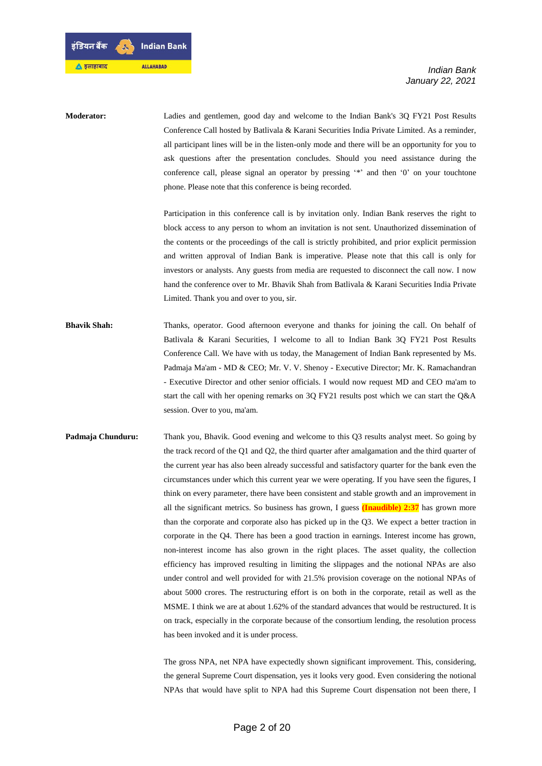डंडियन बैंक **Indian Bank** ▲ इलाहाबाद **ALLAHABAD** 

**Moderator:** Ladies and gentlemen, good day and welcome to the Indian Bank's 3Q FY21 Post Results Conference Call hosted by Batlivala & Karani Securities India Private Limited. As a reminder, all participant lines will be in the listen-only mode and there will be an opportunity for you to ask questions after the presentation concludes. Should you need assistance during the conference call, please signal an operator by pressing '\*' and then '0' on your touchtone phone. Please note that this conference is being recorded.

> Participation in this conference call is by invitation only. Indian Bank reserves the right to block access to any person to whom an invitation is not sent. Unauthorized dissemination of the contents or the proceedings of the call is strictly prohibited, and prior explicit permission and written approval of Indian Bank is imperative. Please note that this call is only for investors or analysts. Any guests from media are requested to disconnect the call now. I now hand the conference over to Mr. Bhavik Shah from Batlivala & Karani Securities India Private Limited. Thank you and over to you, sir.

**Bhavik Shah:** Thanks, operator. Good afternoon everyone and thanks for joining the call. On behalf of Batlivala & Karani Securities, I welcome to all to Indian Bank 3Q FY21 Post Results Conference Call. We have with us today, the Management of Indian Bank represented by Ms. Padmaja Ma'am - MD & CEO; Mr. V. V. Shenoy - Executive Director; Mr. K. Ramachandran - Executive Director and other senior officials. I would now request MD and CEO ma'am to start the call with her opening remarks on 3Q FY21 results post which we can start the Q&A session. Over to you, ma'am.

**Padmaja Chunduru:** Thank you, Bhavik. Good evening and welcome to this Q3 results analyst meet. So going by the track record of the Q1 and Q2, the third quarter after amalgamation and the third quarter of the current year has also been already successful and satisfactory quarter for the bank even the circumstances under which this current year we were operating. If you have seen the figures, I think on every parameter, there have been consistent and stable growth and an improvement in all the significant metrics. So business has grown, I guess **(Inaudible) 2:37** has grown more than the corporate and corporate also has picked up in the Q3. We expect a better traction in corporate in the Q4. There has been a good traction in earnings. Interest income has grown, non-interest income has also grown in the right places. The asset quality, the collection efficiency has improved resulting in limiting the slippages and the notional NPAs are also under control and well provided for with 21.5% provision coverage on the notional NPAs of about 5000 crores. The restructuring effort is on both in the corporate, retail as well as the MSME. I think we are at about 1.62% of the standard advances that would be restructured. It is on track, especially in the corporate because of the consortium lending, the resolution process has been invoked and it is under process.

> The gross NPA, net NPA have expectedly shown significant improvement. This, considering, the general Supreme Court dispensation, yes it looks very good. Even considering the notional NPAs that would have split to NPA had this Supreme Court dispensation not been there, I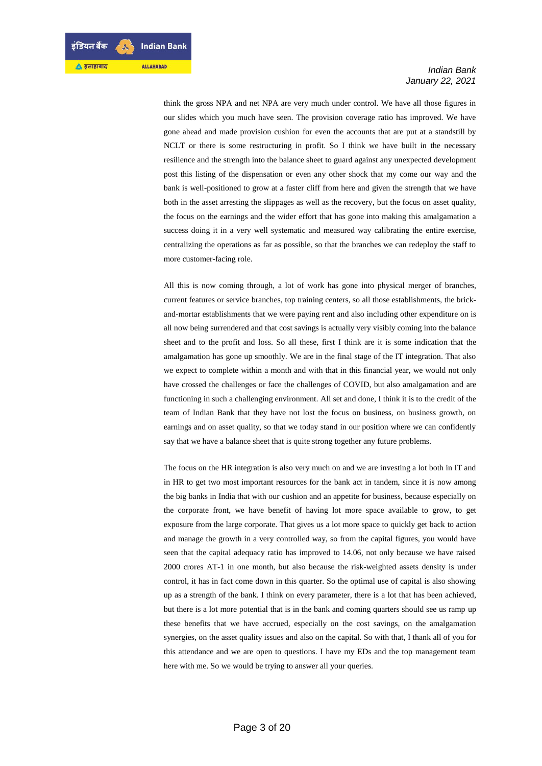think the gross NPA and net NPA are very much under control. We have all those figures in our slides which you much have seen. The provision coverage ratio has improved. We have gone ahead and made provision cushion for even the accounts that are put at a standstill by NCLT or there is some restructuring in profit. So I think we have built in the necessary resilience and the strength into the balance sheet to guard against any unexpected development post this listing of the dispensation or even any other shock that my come our way and the bank is well-positioned to grow at a faster cliff from here and given the strength that we have both in the asset arresting the slippages as well as the recovery, but the focus on asset quality, the focus on the earnings and the wider effort that has gone into making this amalgamation a success doing it in a very well systematic and measured way calibrating the entire exercise, centralizing the operations as far as possible, so that the branches we can redeploy the staff to more customer-facing role.

All this is now coming through, a lot of work has gone into physical merger of branches, current features or service branches, top training centers, so all those establishments, the brickand-mortar establishments that we were paying rent and also including other expenditure on is all now being surrendered and that cost savings is actually very visibly coming into the balance sheet and to the profit and loss. So all these, first I think are it is some indication that the amalgamation has gone up smoothly. We are in the final stage of the IT integration. That also we expect to complete within a month and with that in this financial year, we would not only have crossed the challenges or face the challenges of COVID, but also amalgamation and are functioning in such a challenging environment. All set and done, I think it is to the credit of the team of Indian Bank that they have not lost the focus on business, on business growth, on earnings and on asset quality, so that we today stand in our position where we can confidently say that we have a balance sheet that is quite strong together any future problems.

The focus on the HR integration is also very much on and we are investing a lot both in IT and in HR to get two most important resources for the bank act in tandem, since it is now among the big banks in India that with our cushion and an appetite for business, because especially on the corporate front, we have benefit of having lot more space available to grow, to get exposure from the large corporate. That gives us a lot more space to quickly get back to action and manage the growth in a very controlled way, so from the capital figures, you would have seen that the capital adequacy ratio has improved to 14.06, not only because we have raised 2000 crores AT-1 in one month, but also because the risk-weighted assets density is under control, it has in fact come down in this quarter. So the optimal use of capital is also showing up as a strength of the bank. I think on every parameter, there is a lot that has been achieved, but there is a lot more potential that is in the bank and coming quarters should see us ramp up these benefits that we have accrued, especially on the cost savings, on the amalgamation synergies, on the asset quality issues and also on the capital. So with that, I thank all of you for this attendance and we are open to questions. I have my EDs and the top management team here with me. So we would be trying to answer all your queries.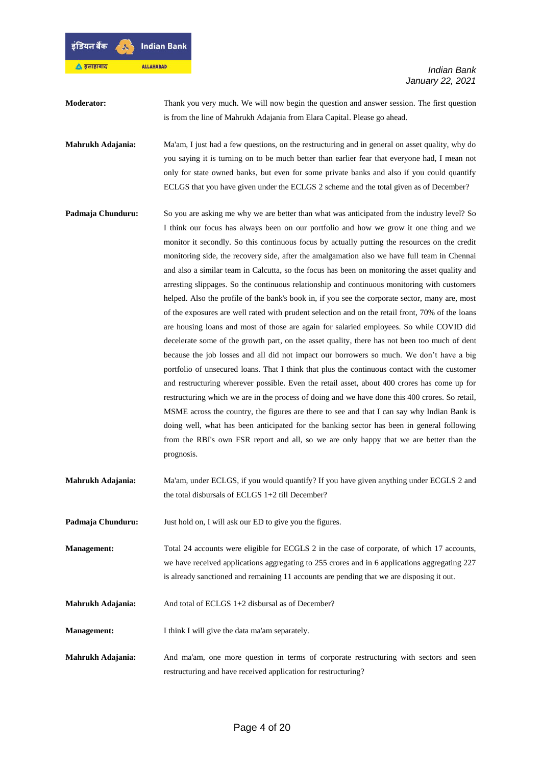

**Moderator:** Thank you very much. We will now begin the question and answer session. The first question is from the line of Mahrukh Adajania from Elara Capital. Please go ahead.

**Mahrukh Adajania:** Ma'am, I just had a few questions, on the restructuring and in general on asset quality, why do you saying it is turning on to be much better than earlier fear that everyone had, I mean not only for state owned banks, but even for some private banks and also if you could quantify ECLGS that you have given under the ECLGS 2 scheme and the total given as of December?

- **Padmaja Chunduru:** So you are asking me why we are better than what was anticipated from the industry level? So I think our focus has always been on our portfolio and how we grow it one thing and we monitor it secondly. So this continuous focus by actually putting the resources on the credit monitoring side, the recovery side, after the amalgamation also we have full team in Chennai and also a similar team in Calcutta, so the focus has been on monitoring the asset quality and arresting slippages. So the continuous relationship and continuous monitoring with customers helped. Also the profile of the bank's book in, if you see the corporate sector, many are, most of the exposures are well rated with prudent selection and on the retail front, 70% of the loans are housing loans and most of those are again for salaried employees. So while COVID did decelerate some of the growth part, on the asset quality, there has not been too much of dent because the job losses and all did not impact our borrowers so much. We don't have a big portfolio of unsecured loans. That I think that plus the continuous contact with the customer and restructuring wherever possible. Even the retail asset, about 400 crores has come up for restructuring which we are in the process of doing and we have done this 400 crores. So retail, MSME across the country, the figures are there to see and that I can say why Indian Bank is doing well, what has been anticipated for the banking sector has been in general following from the RBI's own FSR report and all, so we are only happy that we are better than the prognosis.
- **Mahrukh Adajania:** Ma'am, under ECLGS, if you would quantify? If you have given anything under ECGLS 2 and the total disbursals of ECLGS 1+2 till December?

Padmaja Chunduru: Just hold on, I will ask our ED to give you the figures.

- **Management:** Total 24 accounts were eligible for ECGLS 2 in the case of corporate, of which 17 accounts, we have received applications aggregating to 255 crores and in 6 applications aggregating 227 is already sanctioned and remaining 11 accounts are pending that we are disposing it out.
- **Mahrukh Adajania:** And total of ECLGS 1+2 disbursal as of December?

**Management:** I think I will give the data ma'am separately.

**Mahrukh Adajania:** And ma'am, one more question in terms of corporate restructuring with sectors and seen restructuring and have received application for restructuring?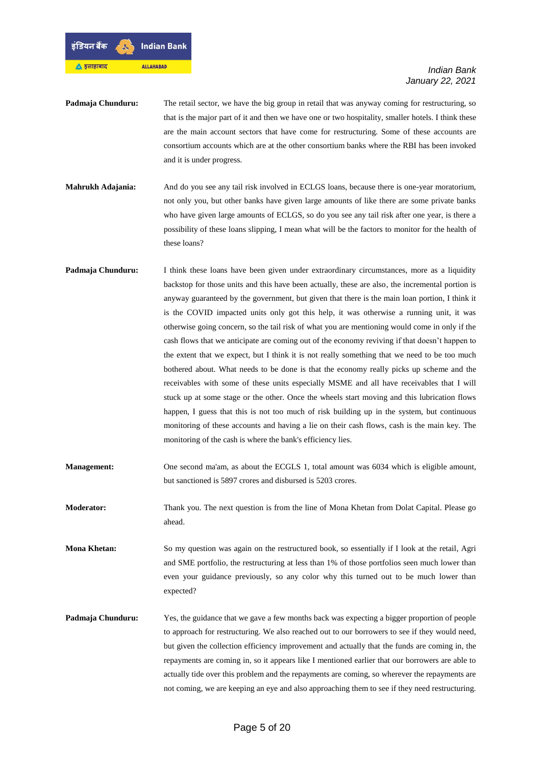

- **Padmaja Chunduru:** The retail sector, we have the big group in retail that was anyway coming for restructuring, so that is the major part of it and then we have one or two hospitality, smaller hotels. I think these are the main account sectors that have come for restructuring. Some of these accounts are consortium accounts which are at the other consortium banks where the RBI has been invoked and it is under progress.
- **Mahrukh Adajania:** And do you see any tail risk involved in ECLGS loans, because there is one-year moratorium, not only you, but other banks have given large amounts of like there are some private banks who have given large amounts of ECLGS, so do you see any tail risk after one year, is there a possibility of these loans slipping, I mean what will be the factors to monitor for the health of these loans?
- **Padmaja Chunduru:** I think these loans have been given under extraordinary circumstances, more as a liquidity backstop for those units and this have been actually, these are also, the incremental portion is anyway guaranteed by the government, but given that there is the main loan portion, I think it is the COVID impacted units only got this help, it was otherwise a running unit, it was otherwise going concern, so the tail risk of what you are mentioning would come in only if the cash flows that we anticipate are coming out of the economy reviving if that doesn't happen to the extent that we expect, but I think it is not really something that we need to be too much bothered about. What needs to be done is that the economy really picks up scheme and the receivables with some of these units especially MSME and all have receivables that I will stuck up at some stage or the other. Once the wheels start moving and this lubrication flows happen, I guess that this is not too much of risk building up in the system, but continuous monitoring of these accounts and having a lie on their cash flows, cash is the main key. The monitoring of the cash is where the bank's efficiency lies.
- **Management:** One second ma'am, as about the ECGLS 1, total amount was 6034 which is eligible amount, but sanctioned is 5897 crores and disbursed is 5203 crores.

**Moderator:** Thank you. The next question is from the line of Mona Khetan from Dolat Capital. Please go ahead.

**Mona Khetan:** So my question was again on the restructured book, so essentially if I look at the retail, Agri and SME portfolio, the restructuring at less than 1% of those portfolios seen much lower than even your guidance previously, so any color why this turned out to be much lower than expected?

**Padmaja Chunduru:** Yes, the guidance that we gave a few months back was expecting a bigger proportion of people to approach for restructuring. We also reached out to our borrowers to see if they would need, but given the collection efficiency improvement and actually that the funds are coming in, the repayments are coming in, so it appears like I mentioned earlier that our borrowers are able to actually tide over this problem and the repayments are coming, so wherever the repayments are not coming, we are keeping an eye and also approaching them to see if they need restructuring.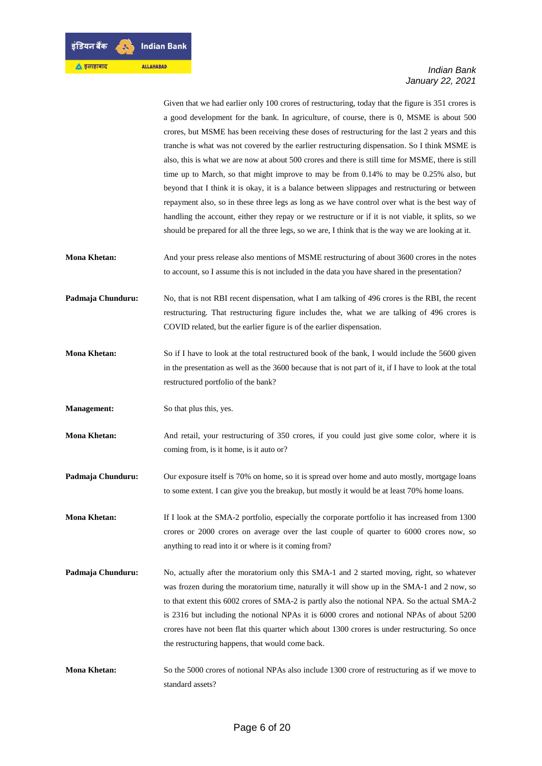Given that we had earlier only 100 crores of restructuring, today that the figure is 351 crores is a good development for the bank. In agriculture, of course, there is 0, MSME is about 500 crores, but MSME has been receiving these doses of restructuring for the last 2 years and this tranche is what was not covered by the earlier restructuring dispensation. So I think MSME is also, this is what we are now at about 500 crores and there is still time for MSME, there is still time up to March, so that might improve to may be from 0.14% to may be 0.25% also, but beyond that I think it is okay, it is a balance between slippages and restructuring or between repayment also, so in these three legs as long as we have control over what is the best way of handling the account, either they repay or we restructure or if it is not viable, it splits, so we should be prepared for all the three legs, so we are, I think that is the way we are looking at it.

**Mona Khetan:** And your press release also mentions of MSME restructuring of about 3600 crores in the notes to account, so I assume this is not included in the data you have shared in the presentation?

**Padmaja Chunduru:** No, that is not RBI recent dispensation, what I am talking of 496 crores is the RBI, the recent restructuring. That restructuring figure includes the, what we are talking of 496 crores is COVID related, but the earlier figure is of the earlier dispensation.

- **Mona Khetan:** So if I have to look at the total restructured book of the bank, I would include the 5600 given in the presentation as well as the 3600 because that is not part of it, if I have to look at the total restructured portfolio of the bank?
- **Management:** So that plus this, yes.
- **Mona Khetan:** And retail, your restructuring of 350 crores, if you could just give some color, where it is coming from, is it home, is it auto or?
- **Padmaja Chunduru:** Our exposure itself is 70% on home, so it is spread over home and auto mostly, mortgage loans to some extent. I can give you the breakup, but mostly it would be at least 70% home loans.

**Mona Khetan:** If I look at the SMA-2 portfolio, especially the corporate portfolio it has increased from 1300 crores or 2000 crores on average over the last couple of quarter to 6000 crores now, so anything to read into it or where is it coming from?

- **Padmaja Chunduru:** No, actually after the moratorium only this SMA-1 and 2 started moving, right, so whatever was frozen during the moratorium time, naturally it will show up in the SMA-1 and 2 now, so to that extent this 6002 crores of SMA-2 is partly also the notional NPA. So the actual SMA-2 is 2316 but including the notional NPAs it is 6000 crores and notional NPAs of about 5200 crores have not been flat this quarter which about 1300 crores is under restructuring. So once the restructuring happens, that would come back.
- **Mona Khetan:** So the 5000 crores of notional NPAs also include 1300 crore of restructuring as if we move to standard assets?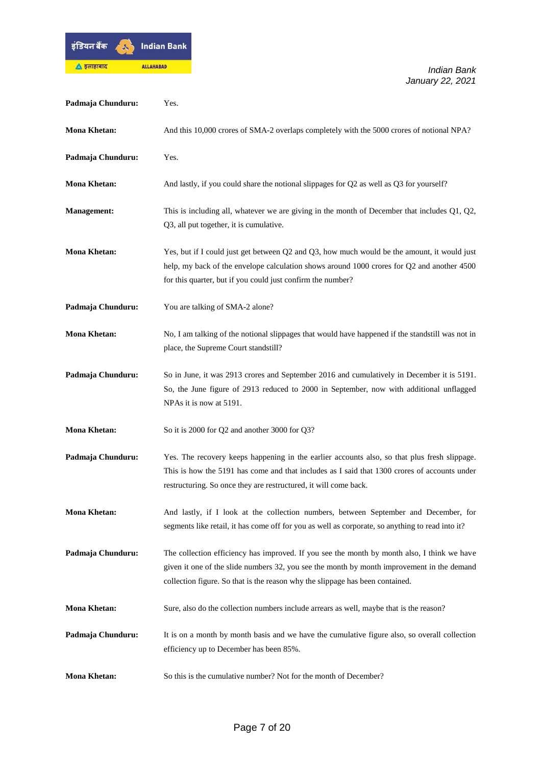

| Padmaja Chunduru:   | Yes.                                                                                                                                                                                                                                                                       |
|---------------------|----------------------------------------------------------------------------------------------------------------------------------------------------------------------------------------------------------------------------------------------------------------------------|
| <b>Mona Khetan:</b> | And this 10,000 crores of SMA-2 overlaps completely with the 5000 crores of notional NPA?                                                                                                                                                                                  |
| Padmaja Chunduru:   | Yes.                                                                                                                                                                                                                                                                       |
| <b>Mona Khetan:</b> | And lastly, if you could share the notional slippages for Q2 as well as Q3 for yourself?                                                                                                                                                                                   |
| <b>Management:</b>  | This is including all, whatever we are giving in the month of December that includes $Q1$ , $Q2$ ,<br>Q3, all put together, it is cumulative.                                                                                                                              |
| <b>Mona Khetan:</b> | Yes, but if I could just get between Q2 and Q3, how much would be the amount, it would just<br>help, my back of the envelope calculation shows around 1000 crores for Q2 and another 4500<br>for this quarter, but if you could just confirm the number?                   |
| Padmaja Chunduru:   | You are talking of SMA-2 alone?                                                                                                                                                                                                                                            |
| <b>Mona Khetan:</b> | No, I am talking of the notional slippages that would have happened if the standstill was not in<br>place, the Supreme Court standstill?                                                                                                                                   |
| Padmaja Chunduru:   | So in June, it was 2913 crores and September 2016 and cumulatively in December it is 5191.<br>So, the June figure of 2913 reduced to 2000 in September, now with additional unflagged<br>NPAs it is now at 5191.                                                           |
| <b>Mona Khetan:</b> | So it is 2000 for Q2 and another 3000 for Q3?                                                                                                                                                                                                                              |
| Padmaja Chunduru:   | Yes. The recovery keeps happening in the earlier accounts also, so that plus fresh slippage.<br>This is how the 5191 has come and that includes as I said that 1300 crores of accounts under<br>restructuring. So once they are restructured, it will come back.           |
| <b>Mona Khetan:</b> | And lastly, if I look at the collection numbers, between September and December, for<br>segments like retail, it has come off for you as well as corporate, so anything to read into it?                                                                                   |
| Padmaja Chunduru:   | The collection efficiency has improved. If you see the month by month also, I think we have<br>given it one of the slide numbers 32, you see the month by month improvement in the demand<br>collection figure. So that is the reason why the slippage has been contained. |
| <b>Mona Khetan:</b> | Sure, also do the collection numbers include arrears as well, maybe that is the reason?                                                                                                                                                                                    |
| Padmaja Chunduru:   | It is on a month by month basis and we have the cumulative figure also, so overall collection<br>efficiency up to December has been 85%.                                                                                                                                   |
| <b>Mona Khetan:</b> | So this is the cumulative number? Not for the month of December?                                                                                                                                                                                                           |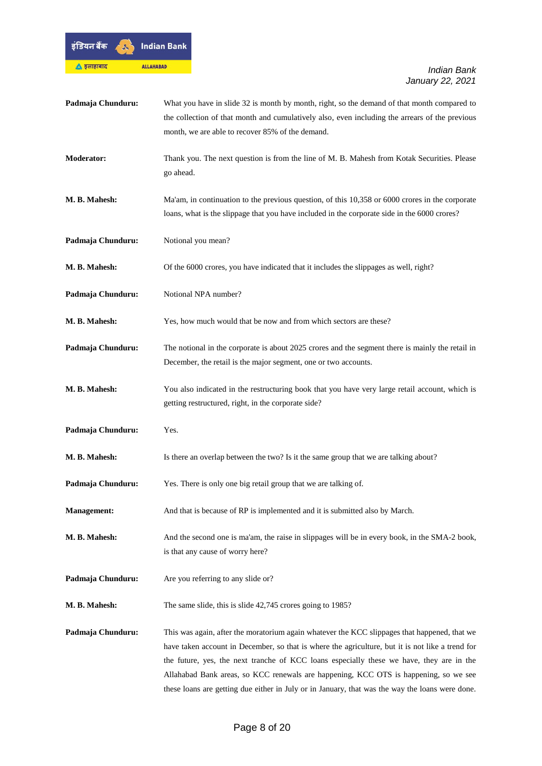

| Padmaja Chunduru:  | What you have in slide 32 is month by month, right, so the demand of that month compared to<br>the collection of that month and cumulatively also, even including the arrears of the previous<br>month, we are able to recover 85% of the demand.                                                                                                                                                                                                                                       |
|--------------------|-----------------------------------------------------------------------------------------------------------------------------------------------------------------------------------------------------------------------------------------------------------------------------------------------------------------------------------------------------------------------------------------------------------------------------------------------------------------------------------------|
| Moderator:         | Thank you. The next question is from the line of M. B. Mahesh from Kotak Securities. Please<br>go ahead.                                                                                                                                                                                                                                                                                                                                                                                |
| M. B. Mahesh:      | Ma'am, in continuation to the previous question, of this 10,358 or 6000 crores in the corporate<br>loans, what is the slippage that you have included in the corporate side in the 6000 crores?                                                                                                                                                                                                                                                                                         |
| Padmaja Chunduru:  | Notional you mean?                                                                                                                                                                                                                                                                                                                                                                                                                                                                      |
| M. B. Mahesh:      | Of the 6000 crores, you have indicated that it includes the slippages as well, right?                                                                                                                                                                                                                                                                                                                                                                                                   |
| Padmaja Chunduru:  | Notional NPA number?                                                                                                                                                                                                                                                                                                                                                                                                                                                                    |
| M. B. Mahesh:      | Yes, how much would that be now and from which sectors are these?                                                                                                                                                                                                                                                                                                                                                                                                                       |
| Padmaja Chunduru:  | The notional in the corporate is about 2025 crores and the segment there is mainly the retail in<br>December, the retail is the major segment, one or two accounts.                                                                                                                                                                                                                                                                                                                     |
| M. B. Mahesh:      | You also indicated in the restructuring book that you have very large retail account, which is<br>getting restructured, right, in the corporate side?                                                                                                                                                                                                                                                                                                                                   |
| Padmaja Chunduru:  | Yes.                                                                                                                                                                                                                                                                                                                                                                                                                                                                                    |
| M. B. Mahesh:      | Is there an overlap between the two? Is it the same group that we are talking about?                                                                                                                                                                                                                                                                                                                                                                                                    |
| Padmaja Chunduru:  | Yes. There is only one big retail group that we are talking of.                                                                                                                                                                                                                                                                                                                                                                                                                         |
| <b>Management:</b> | And that is because of RP is implemented and it is submitted also by March.                                                                                                                                                                                                                                                                                                                                                                                                             |
| M. B. Mahesh:      | And the second one is ma'am, the raise in slippages will be in every book, in the SMA-2 book,<br>is that any cause of worry here?                                                                                                                                                                                                                                                                                                                                                       |
| Padmaja Chunduru:  | Are you referring to any slide or?                                                                                                                                                                                                                                                                                                                                                                                                                                                      |
| M. B. Mahesh:      | The same slide, this is slide 42,745 crores going to 1985?                                                                                                                                                                                                                                                                                                                                                                                                                              |
| Padmaja Chunduru:  | This was again, after the moratorium again whatever the KCC slippages that happened, that we<br>have taken account in December, so that is where the agriculture, but it is not like a trend for<br>the future, yes, the next tranche of KCC loans especially these we have, they are in the<br>Allahabad Bank areas, so KCC renewals are happening, KCC OTS is happening, so we see<br>these loans are getting due either in July or in January, that was the way the loans were done. |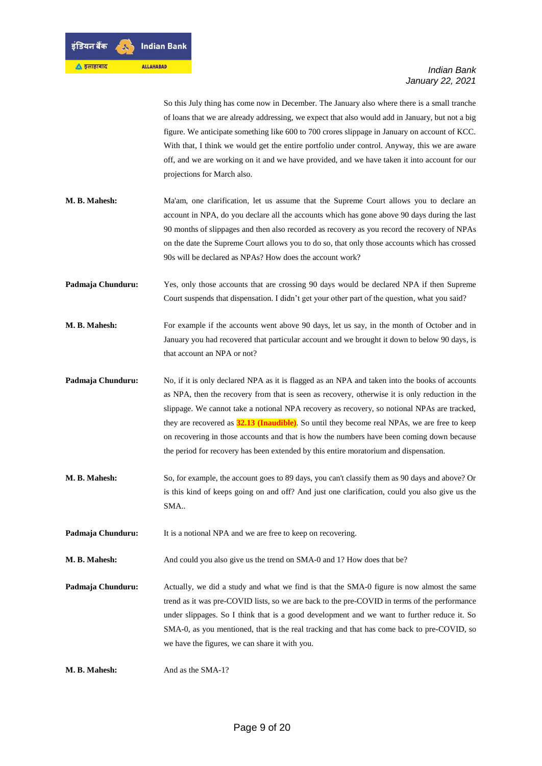So this July thing has come now in December. The January also where there is a small tranche of loans that we are already addressing, we expect that also would add in January, but not a big figure. We anticipate something like 600 to 700 crores slippage in January on account of KCC. With that, I think we would get the entire portfolio under control. Anyway, this we are aware off, and we are working on it and we have provided, and we have taken it into account for our projections for March also.

- **M. B. Mahesh:** Ma'am, one clarification, let us assume that the Supreme Court allows you to declare an account in NPA, do you declare all the accounts which has gone above 90 days during the last 90 months of slippages and then also recorded as recovery as you record the recovery of NPAs on the date the Supreme Court allows you to do so, that only those accounts which has crossed 90s will be declared as NPAs? How does the account work?
- **Padmaja Chunduru:** Yes, only those accounts that are crossing 90 days would be declared NPA if then Supreme Court suspends that dispensation. I didn't get your other part of the question, what you said?
- **M. B. Mahesh:** For example if the accounts went above 90 days, let us say, in the month of October and in January you had recovered that particular account and we brought it down to below 90 days, is that account an NPA or not?
- **Padmaja Chunduru:** No, if it is only declared NPA as it is flagged as an NPA and taken into the books of accounts as NPA, then the recovery from that is seen as recovery, otherwise it is only reduction in the slippage. We cannot take a notional NPA recovery as recovery, so notional NPAs are tracked, they are recovered as **32.13 (Inaudible)**. So until they become real NPAs, we are free to keep on recovering in those accounts and that is how the numbers have been coming down because the period for recovery has been extended by this entire moratorium and dispensation.
- **M. B. Mahesh:** So, for example, the account goes to 89 days, you can't classify them as 90 days and above? Or is this kind of keeps going on and off? And just one clarification, could you also give us the SMA..

**Padmaja Chunduru:** It is a notional NPA and we are free to keep on recovering.

**M. B. Mahesh:** And could you also give us the trend on SMA-0 and 1? How does that be?

**Padmaja Chunduru:** Actually, we did a study and what we find is that the SMA-0 figure is now almost the same trend as it was pre-COVID lists, so we are back to the pre-COVID in terms of the performance under slippages. So I think that is a good development and we want to further reduce it. So SMA-0, as you mentioned, that is the real tracking and that has come back to pre-COVID, so we have the figures, we can share it with you.

**M. B. Mahesh:** And as the SMA-1?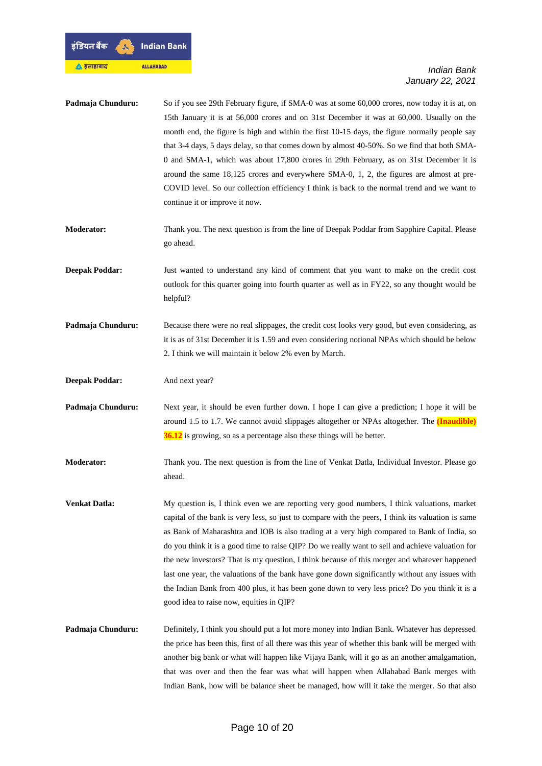

| Padmaja Chunduru:     | So if you see 29th February figure, if SMA-0 was at some 60,000 crores, now today it is at, on<br>15th January it is at 56,000 crores and on 31st December it was at 60,000. Usually on the<br>month end, the figure is high and within the first 10-15 days, the figure normally people say<br>that 3-4 days, 5 days delay, so that comes down by almost 40-50%. So we find that both SMA-<br>0 and SMA-1, which was about 17,800 crores in 29th February, as on 31st December it is<br>around the same 18,125 crores and everywhere SMA-0, 1, 2, the figures are almost at pre-<br>COVID level. So our collection efficiency I think is back to the normal trend and we want to<br>continue it or improve it now.                                 |
|-----------------------|-----------------------------------------------------------------------------------------------------------------------------------------------------------------------------------------------------------------------------------------------------------------------------------------------------------------------------------------------------------------------------------------------------------------------------------------------------------------------------------------------------------------------------------------------------------------------------------------------------------------------------------------------------------------------------------------------------------------------------------------------------|
| <b>Moderator:</b>     | Thank you. The next question is from the line of Deepak Poddar from Sapphire Capital. Please<br>go ahead.                                                                                                                                                                                                                                                                                                                                                                                                                                                                                                                                                                                                                                           |
| <b>Deepak Poddar:</b> | Just wanted to understand any kind of comment that you want to make on the credit cost<br>outlook for this quarter going into fourth quarter as well as in FY22, so any thought would be<br>helpful?                                                                                                                                                                                                                                                                                                                                                                                                                                                                                                                                                |
| Padmaja Chunduru:     | Because there were no real slippages, the credit cost looks very good, but even considering, as<br>it is as of 31st December it is 1.59 and even considering notional NPAs which should be below<br>2. I think we will maintain it below 2% even by March.                                                                                                                                                                                                                                                                                                                                                                                                                                                                                          |
| <b>Deepak Poddar:</b> | And next year?                                                                                                                                                                                                                                                                                                                                                                                                                                                                                                                                                                                                                                                                                                                                      |
| Padmaja Chunduru:     | Next year, it should be even further down. I hope I can give a prediction; I hope it will be<br>around 1.5 to 1.7. We cannot avoid slippages altogether or NPAs altogether. The <i>(Inaudible)</i><br>36.12 is growing, so as a percentage also these things will be better.                                                                                                                                                                                                                                                                                                                                                                                                                                                                        |
| <b>Moderator:</b>     | Thank you. The next question is from the line of Venkat Datla, Individual Investor. Please go<br>ahead.                                                                                                                                                                                                                                                                                                                                                                                                                                                                                                                                                                                                                                             |
| Venkat Datla:         | My question is, I think even we are reporting very good numbers, I think valuations, market<br>capital of the bank is very less, so just to compare with the peers, I think its valuation is same<br>as Bank of Maharashtra and IOB is also trading at a very high compared to Bank of India, so<br>do you think it is a good time to raise QIP? Do we really want to sell and achieve valuation for<br>the new investors? That is my question, I think because of this merger and whatever happened<br>last one year, the valuations of the bank have gone down significantly without any issues with<br>the Indian Bank from 400 plus, it has been gone down to very less price? Do you think it is a<br>good idea to raise now, equities in QIP? |
| Padmaja Chunduru:     | Definitely, I think you should put a lot more money into Indian Bank. Whatever has depressed<br>the price has been this, first of all there was this year of whether this bank will be merged with<br>another big bank or what will happen like Vijaya Bank, will it go as an another amalgamation,<br>that was over and then the fear was what will happen when Allahabad Bank merges with<br>Indian Bank, how will be balance sheet be managed, how will it take the merger. So that also                                                                                                                                                                                                                                                         |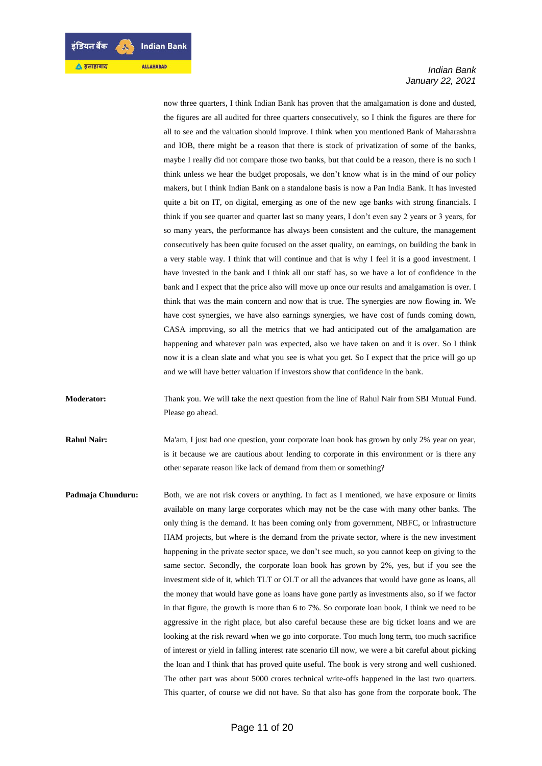now three quarters, I think Indian Bank has proven that the amalgamation is done and dusted, the figures are all audited for three quarters consecutively, so I think the figures are there for all to see and the valuation should improve. I think when you mentioned Bank of Maharashtra and IOB, there might be a reason that there is stock of privatization of some of the banks, maybe I really did not compare those two banks, but that could be a reason, there is no such I think unless we hear the budget proposals, we don't know what is in the mind of our policy makers, but I think Indian Bank on a standalone basis is now a Pan India Bank. It has invested quite a bit on IT, on digital, emerging as one of the new age banks with strong financials. I think if you see quarter and quarter last so many years, I don't even say 2 years or 3 years, for so many years, the performance has always been consistent and the culture, the management consecutively has been quite focused on the asset quality, on earnings, on building the bank in a very stable way. I think that will continue and that is why I feel it is a good investment. I have invested in the bank and I think all our staff has, so we have a lot of confidence in the bank and I expect that the price also will move up once our results and amalgamation is over. I think that was the main concern and now that is true. The synergies are now flowing in. We have cost synergies, we have also earnings synergies, we have cost of funds coming down, CASA improving, so all the metrics that we had anticipated out of the amalgamation are happening and whatever pain was expected, also we have taken on and it is over. So I think now it is a clean slate and what you see is what you get. So I expect that the price will go up and we will have better valuation if investors show that confidence in the bank.

**Moderator:** Thank you. We will take the next question from the line of Rahul Nair from SBI Mutual Fund. Please go ahead.

**Rahul Nair:** Ma'am, I just had one question, your corporate loan book has grown by only 2% year on year, is it because we are cautious about lending to corporate in this environment or is there any other separate reason like lack of demand from them or something?

**Padmaja Chunduru:** Both, we are not risk covers or anything. In fact as I mentioned, we have exposure or limits available on many large corporates which may not be the case with many other banks. The only thing is the demand. It has been coming only from government, NBFC, or infrastructure HAM projects, but where is the demand from the private sector, where is the new investment happening in the private sector space, we don't see much, so you cannot keep on giving to the same sector. Secondly, the corporate loan book has grown by 2%, yes, but if you see the investment side of it, which TLT or OLT or all the advances that would have gone as loans, all the money that would have gone as loans have gone partly as investments also, so if we factor in that figure, the growth is more than 6 to 7%. So corporate loan book, I think we need to be aggressive in the right place, but also careful because these are big ticket loans and we are looking at the risk reward when we go into corporate. Too much long term, too much sacrifice of interest or yield in falling interest rate scenario till now, we were a bit careful about picking the loan and I think that has proved quite useful. The book is very strong and well cushioned. The other part was about 5000 crores technical write-offs happened in the last two quarters. This quarter, of course we did not have. So that also has gone from the corporate book. The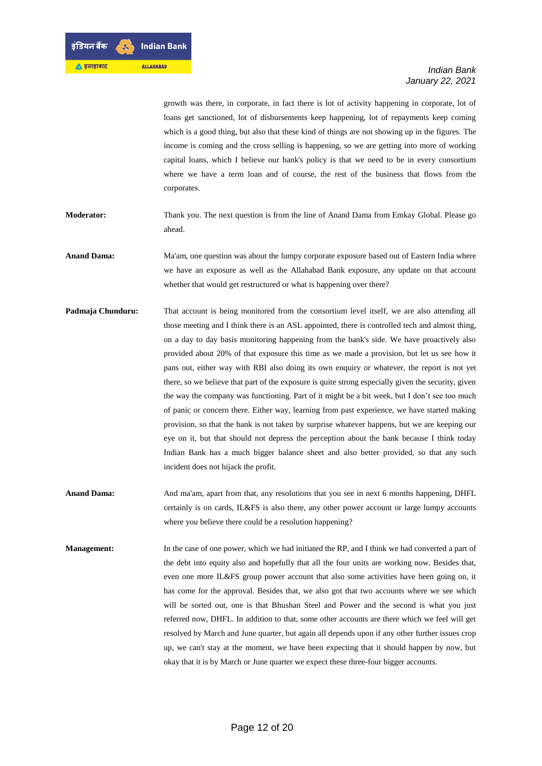growth was there, in corporate, in fact there is lot of activity happening in corporate, lot of loans get sanctioned, lot of disbursements keep happening, lot of repayments keep coming which is a good thing, but also that these kind of things are not showing up in the figures. The income is coming and the cross selling is happening, so we are getting into more of working capital loans, which I believe our bank's policy is that we need to be in every consortium where we have a term loan and of course, the rest of the business that flows from the corporates.

- **Moderator:** Thank you. The next question is from the line of Anand Dama from Emkay Global. Please go ahead.
- **Anand Dama:** Ma'am, one question was about the lumpy corporate exposure based out of Eastern India where we have an exposure as well as the Allahabad Bank exposure, any update on that account whether that would get restructured or what is happening over there?
- **Padmaja Chunduru:** That account is being monitored from the consortium level itself, we are also attending all those meeting and I think there is an ASL appointed, there is controlled tech and almost thing, on a day to day basis monitoring happening from the bank's side. We have proactively also provided about 20% of that exposure this time as we made a provision, but let us see how it pans out, either way with RBI also doing its own enquiry or whatever, the report is not yet there, so we believe that part of the exposure is quite strong especially given the security, given the way the company was functioning. Part of it might be a bit week, but I don't see too much of panic or concern there. Either way, learning from past experience, we have started making provision, so that the bank is not taken by surprise whatever happens, but we are keeping our eye on it, but that should not depress the perception about the bank because I think today Indian Bank has a much bigger balance sheet and also better provided, so that any such incident does not hijack the profit.
- **Anand Dama:** And ma'am, apart from that, any resolutions that you see in next 6 months happening, DHFL certainly is on cards, IL&FS is also there, any other power account or large lumpy accounts where you believe there could be a resolution happening?
- **Management:** In the case of one power, which we had initiated the RP, and I think we had converted a part of the debt into equity also and hopefully that all the four units are working now. Besides that, even one more IL&FS group power account that also some activities have been going on, it has come for the approval. Besides that, we also got that two accounts where we see which will be sorted out, one is that Bhushan Steel and Power and the second is what you just referred now, DHFL. In addition to that, some other accounts are there which we feel will get resolved by March and June quarter, but again all depends upon if any other further issues crop up, we can't stay at the moment, we have been expecting that it should happen by now, but okay that it is by March or June quarter we expect these three-four bigger accounts.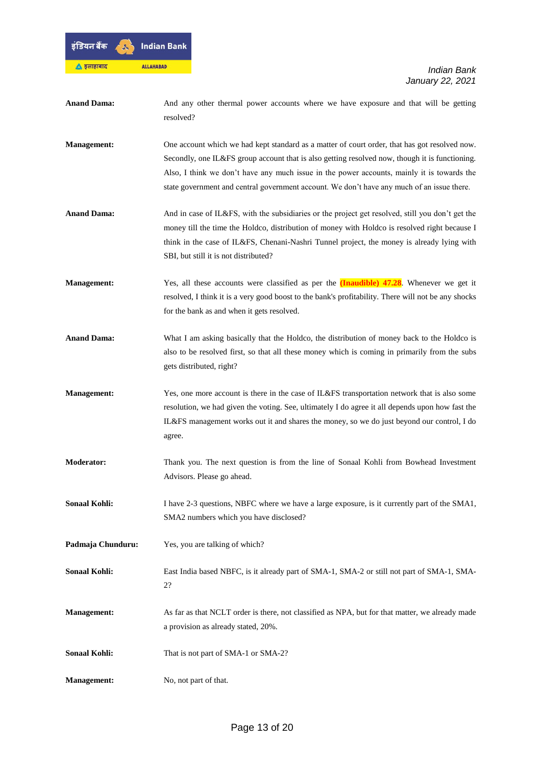

| <b>Anand Dama:</b>   | And any other thermal power accounts where we have exposure and that will be getting<br>resolved?                                                                                                                                                                                                                                                                                           |
|----------------------|---------------------------------------------------------------------------------------------------------------------------------------------------------------------------------------------------------------------------------------------------------------------------------------------------------------------------------------------------------------------------------------------|
| <b>Management:</b>   | One account which we had kept standard as a matter of court order, that has got resolved now.<br>Secondly, one IL&FS group account that is also getting resolved now, though it is functioning.<br>Also, I think we don't have any much issue in the power accounts, mainly it is towards the<br>state government and central government account. We don't have any much of an issue there. |
| <b>Anand Dama:</b>   | And in case of IL&FS, with the subsidiaries or the project get resolved, still you don't get the<br>money till the time the Holdco, distribution of money with Holdco is resolved right because I<br>think in the case of IL&FS, Chenani-Nashri Tunnel project, the money is already lying with<br>SBI, but still it is not distributed?                                                    |
| <b>Management:</b>   | Yes, all these accounts were classified as per the $(Inaudible)$ 47.28. Whenever we get it<br>resolved, I think it is a very good boost to the bank's profitability. There will not be any shocks<br>for the bank as and when it gets resolved.                                                                                                                                             |
| <b>Anand Dama:</b>   | What I am asking basically that the Holdco, the distribution of money back to the Holdco is<br>also to be resolved first, so that all these money which is coming in primarily from the subs<br>gets distributed, right?                                                                                                                                                                    |
| <b>Management:</b>   | Yes, one more account is there in the case of IL&FS transportation network that is also some<br>resolution, we had given the voting. See, ultimately I do agree it all depends upon how fast the<br>IL&FS management works out it and shares the money, so we do just beyond our control, I do<br>agree.                                                                                    |
| <b>Moderator:</b>    | Thank you. The next question is from the line of Sonaal Kohli from Bowhead Investment<br>Advisors. Please go ahead.                                                                                                                                                                                                                                                                         |
| <b>Sonaal Kohli:</b> | I have 2-3 questions, NBFC where we have a large exposure, is it currently part of the SMA1,<br>SMA2 numbers which you have disclosed?                                                                                                                                                                                                                                                      |
| Padmaja Chunduru:    | Yes, you are talking of which?                                                                                                                                                                                                                                                                                                                                                              |
| <b>Sonaal Kohli:</b> | East India based NBFC, is it already part of SMA-1, SMA-2 or still not part of SMA-1, SMA-<br>2?                                                                                                                                                                                                                                                                                            |
| <b>Management:</b>   | As far as that NCLT order is there, not classified as NPA, but for that matter, we already made<br>a provision as already stated, 20%.                                                                                                                                                                                                                                                      |
| <b>Sonaal Kohli:</b> | That is not part of SMA-1 or SMA-2?                                                                                                                                                                                                                                                                                                                                                         |
| <b>Management:</b>   | No, not part of that.                                                                                                                                                                                                                                                                                                                                                                       |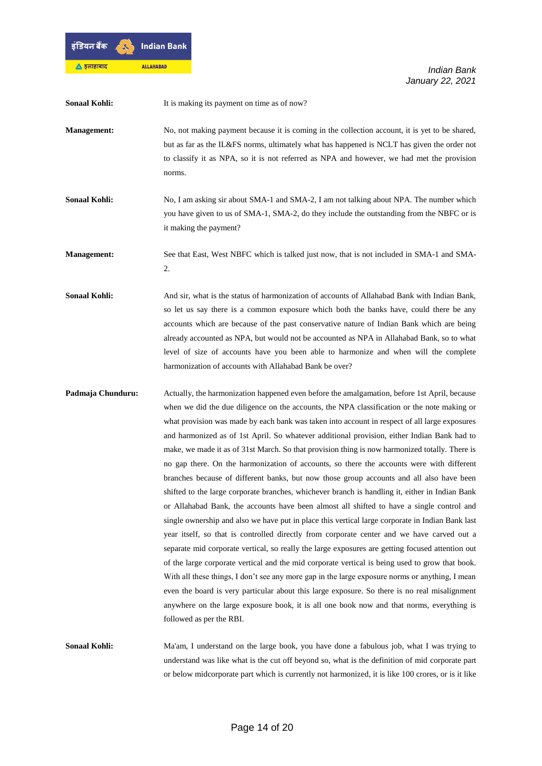

| <b>Sonaal Kohli:</b> | It is making its payment on time as of now?                                                                                                                                                                                                                                                                                                                                                                                                                                                                                                                                                                                                                                                                                                                                                                                                                                                                                                                                                                                                                                                                                                                                                                                                                                                                                                                                                                                                                                                                                                                                                                                  |
|----------------------|------------------------------------------------------------------------------------------------------------------------------------------------------------------------------------------------------------------------------------------------------------------------------------------------------------------------------------------------------------------------------------------------------------------------------------------------------------------------------------------------------------------------------------------------------------------------------------------------------------------------------------------------------------------------------------------------------------------------------------------------------------------------------------------------------------------------------------------------------------------------------------------------------------------------------------------------------------------------------------------------------------------------------------------------------------------------------------------------------------------------------------------------------------------------------------------------------------------------------------------------------------------------------------------------------------------------------------------------------------------------------------------------------------------------------------------------------------------------------------------------------------------------------------------------------------------------------------------------------------------------------|
| <b>Management:</b>   | No, not making payment because it is coming in the collection account, it is yet to be shared,<br>but as far as the IL&FS norms, ultimately what has happened is NCLT has given the order not<br>to classify it as NPA, so it is not referred as NPA and however, we had met the provision<br>norms.                                                                                                                                                                                                                                                                                                                                                                                                                                                                                                                                                                                                                                                                                                                                                                                                                                                                                                                                                                                                                                                                                                                                                                                                                                                                                                                         |
| <b>Sonaal Kohli:</b> | No, I am asking sir about SMA-1 and SMA-2, I am not talking about NPA. The number which<br>you have given to us of SMA-1, SMA-2, do they include the outstanding from the NBFC or is<br>it making the payment?                                                                                                                                                                                                                                                                                                                                                                                                                                                                                                                                                                                                                                                                                                                                                                                                                                                                                                                                                                                                                                                                                                                                                                                                                                                                                                                                                                                                               |
| <b>Management:</b>   | See that East, West NBFC which is talked just now, that is not included in SMA-1 and SMA-<br>2.                                                                                                                                                                                                                                                                                                                                                                                                                                                                                                                                                                                                                                                                                                                                                                                                                                                                                                                                                                                                                                                                                                                                                                                                                                                                                                                                                                                                                                                                                                                              |
| <b>Sonaal Kohli:</b> | And sir, what is the status of harmonization of accounts of Allahabad Bank with Indian Bank,<br>so let us say there is a common exposure which both the banks have, could there be any<br>accounts which are because of the past conservative nature of Indian Bank which are being<br>already accounted as NPA, but would not be accounted as NPA in Allahabad Bank, so to what<br>level of size of accounts have you been able to harmonize and when will the complete<br>harmonization of accounts with Allahabad Bank be over?                                                                                                                                                                                                                                                                                                                                                                                                                                                                                                                                                                                                                                                                                                                                                                                                                                                                                                                                                                                                                                                                                           |
| Padmaja Chunduru:    | Actually, the harmonization happened even before the amalgamation, before 1st April, because<br>when we did the due diligence on the accounts, the NPA classification or the note making or<br>what provision was made by each bank was taken into account in respect of all large exposures<br>and harmonized as of 1st April. So whatever additional provision, either Indian Bank had to<br>make, we made it as of 31st March. So that provision thing is now harmonized totally. There is<br>no gap there. On the harmonization of accounts, so there the accounts were with different<br>branches because of different banks, but now those group accounts and all also have been<br>shifted to the large corporate branches, whichever branch is handling it, either in Indian Bank<br>or Allahabad Bank, the accounts have been almost all shifted to have a single control and<br>single ownership and also we have put in place this vertical large corporate in Indian Bank last<br>year itself, so that is controlled directly from corporate center and we have carved out a<br>separate mid corporate vertical, so really the large exposures are getting focused attention out<br>of the large corporate vertical and the mid corporate vertical is being used to grow that book.<br>With all these things, I don't see any more gap in the large exposure norms or anything, I mean<br>even the board is very particular about this large exposure. So there is no real misalignment<br>anywhere on the large exposure book, it is all one book now and that norms, everything is<br>followed as per the RBI. |
| <b>Sonaal Kohli:</b> | Ma'am, I understand on the large book, you have done a fabulous job, what I was trying to<br>understand was like what is the cut off beyond so, what is the definition of mid corporate part<br>or below midcorporate part which is currently not harmonized, it is like 100 crores, or is it like                                                                                                                                                                                                                                                                                                                                                                                                                                                                                                                                                                                                                                                                                                                                                                                                                                                                                                                                                                                                                                                                                                                                                                                                                                                                                                                           |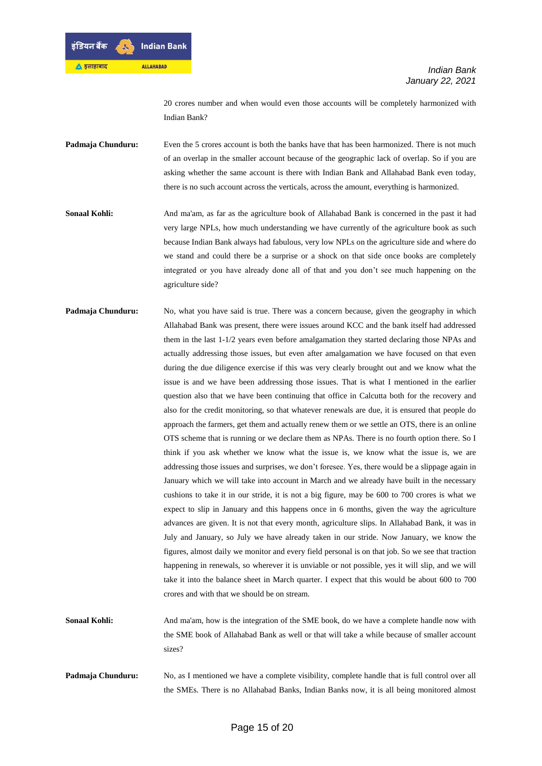20 crores number and when would even those accounts will be completely harmonized with Indian Bank?

- **Padmaja Chunduru:** Even the 5 crores account is both the banks have that has been harmonized. There is not much of an overlap in the smaller account because of the geographic lack of overlap. So if you are asking whether the same account is there with Indian Bank and Allahabad Bank even today, there is no such account across the verticals, across the amount, everything is harmonized.
- **Sonaal Kohli:** And ma'am, as far as the agriculture book of Allahabad Bank is concerned in the past it had very large NPLs, how much understanding we have currently of the agriculture book as such because Indian Bank always had fabulous, very low NPLs on the agriculture side and where do we stand and could there be a surprise or a shock on that side once books are completely integrated or you have already done all of that and you don't see much happening on the agriculture side?
- **Padmaja Chunduru:** No, what you have said is true. There was a concern because, given the geography in which Allahabad Bank was present, there were issues around KCC and the bank itself had addressed them in the last 1-1/2 years even before amalgamation they started declaring those NPAs and actually addressing those issues, but even after amalgamation we have focused on that even during the due diligence exercise if this was very clearly brought out and we know what the issue is and we have been addressing those issues. That is what I mentioned in the earlier question also that we have been continuing that office in Calcutta both for the recovery and also for the credit monitoring, so that whatever renewals are due, it is ensured that people do approach the farmers, get them and actually renew them or we settle an OTS, there is an online OTS scheme that is running or we declare them as NPAs. There is no fourth option there. So I think if you ask whether we know what the issue is, we know what the issue is, we are addressing those issues and surprises, we don't foresee. Yes, there would be a slippage again in January which we will take into account in March and we already have built in the necessary cushions to take it in our stride, it is not a big figure, may be 600 to 700 crores is what we expect to slip in January and this happens once in 6 months, given the way the agriculture advances are given. It is not that every month, agriculture slips. In Allahabad Bank, it was in July and January, so July we have already taken in our stride. Now January, we know the figures, almost daily we monitor and every field personal is on that job. So we see that traction happening in renewals, so wherever it is unviable or not possible, yes it will slip, and we will take it into the balance sheet in March quarter. I expect that this would be about 600 to 700 crores and with that we should be on stream.
- **Sonaal Kohli:** And ma'am, how is the integration of the SME book, do we have a complete handle now with the SME book of Allahabad Bank as well or that will take a while because of smaller account sizes?
- **Padmaja Chunduru:** No, as I mentioned we have a complete visibility, complete handle that is full control over all the SMEs. There is no Allahabad Banks, Indian Banks now, it is all being monitored almost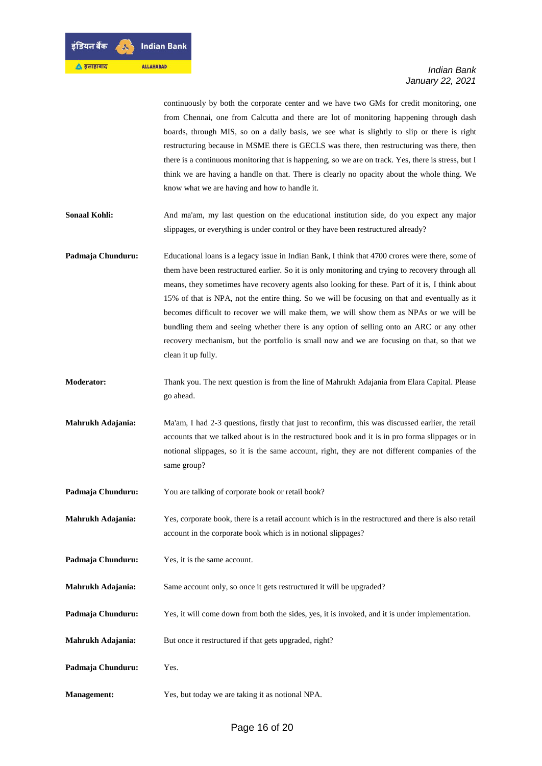

continuously by both the corporate center and we have two GMs for credit monitoring, one from Chennai, one from Calcutta and there are lot of monitoring happening through dash boards, through MIS, so on a daily basis, we see what is slightly to slip or there is right restructuring because in MSME there is GECLS was there, then restructuring was there, then there is a continuous monitoring that is happening, so we are on track. Yes, there is stress, but I think we are having a handle on that. There is clearly no opacity about the whole thing. We know what we are having and how to handle it.

- **Sonaal Kohli:** And ma'am, my last question on the educational institution side, do you expect any major slippages, or everything is under control or they have been restructured already?
- **Padmaja Chunduru:** Educational loans is a legacy issue in Indian Bank, I think that 4700 crores were there, some of them have been restructured earlier. So it is only monitoring and trying to recovery through all means, they sometimes have recovery agents also looking for these. Part of it is, I think about 15% of that is NPA, not the entire thing. So we will be focusing on that and eventually as it becomes difficult to recover we will make them, we will show them as NPAs or we will be bundling them and seeing whether there is any option of selling onto an ARC or any other recovery mechanism, but the portfolio is small now and we are focusing on that, so that we clean it up fully.
- **Moderator:** Thank you. The next question is from the line of Mahrukh Adajania from Elara Capital. Please go ahead.
- **Mahrukh Adajania:** Ma'am, I had 2-3 questions, firstly that just to reconfirm, this was discussed earlier, the retail accounts that we talked about is in the restructured book and it is in pro forma slippages or in notional slippages, so it is the same account, right, they are not different companies of the same group?
- Padmaja Chunduru: You are talking of corporate book or retail book?
- **Mahrukh Adajania:** Yes, corporate book, there is a retail account which is in the restructured and there is also retail account in the corporate book which is in notional slippages?
- **Padmaja Chunduru:** Yes, it is the same account.
- **Mahrukh Adajania:** Same account only, so once it gets restructured it will be upgraded?
- **Padmaja Chunduru:** Yes, it will come down from both the sides, yes, it is invoked, and it is under implementation.
- **Mahrukh Adajania:** But once it restructured if that gets upgraded, right?
- **Padmaja Chunduru:** Yes.
- **Management:** Yes, but today we are taking it as notional NPA.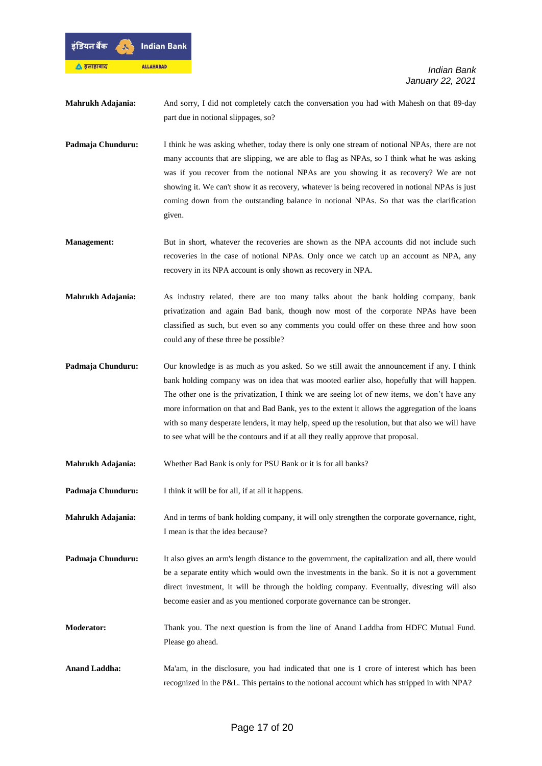

**Mahrukh Adajania:** And sorry, I did not completely catch the conversation you had with Mahesh on that 89-day part due in notional slippages, so?

- **Padmaja Chunduru:** I think he was asking whether, today there is only one stream of notional NPAs, there are not many accounts that are slipping, we are able to flag as NPAs, so I think what he was asking was if you recover from the notional NPAs are you showing it as recovery? We are not showing it. We can't show it as recovery, whatever is being recovered in notional NPAs is just coming down from the outstanding balance in notional NPAs. So that was the clarification given.
- **Management:** But in short, whatever the recoveries are shown as the NPA accounts did not include such recoveries in the case of notional NPAs. Only once we catch up an account as NPA, any recovery in its NPA account is only shown as recovery in NPA.
- **Mahrukh Adajania:** As industry related, there are too many talks about the bank holding company, bank privatization and again Bad bank, though now most of the corporate NPAs have been classified as such, but even so any comments you could offer on these three and how soon could any of these three be possible?
- **Padmaja Chunduru:** Our knowledge is as much as you asked. So we still await the announcement if any. I think bank holding company was on idea that was mooted earlier also, hopefully that will happen. The other one is the privatization, I think we are seeing lot of new items, we don't have any more information on that and Bad Bank, yes to the extent it allows the aggregation of the loans with so many desperate lenders, it may help, speed up the resolution, but that also we will have to see what will be the contours and if at all they really approve that proposal.
- **Mahrukh Adajania:** Whether Bad Bank is only for PSU Bank or it is for all banks?

**Padmaja Chunduru:** I think it will be for all, if at all it happens.

**Mahrukh Adajania:** And in terms of bank holding company, it will only strengthen the corporate governance, right, I mean is that the idea because?

- **Padmaja Chunduru:** It also gives an arm's length distance to the government, the capitalization and all, there would be a separate entity which would own the investments in the bank. So it is not a government direct investment, it will be through the holding company. Eventually, divesting will also become easier and as you mentioned corporate governance can be stronger.
- **Moderator:** Thank you. The next question is from the line of Anand Laddha from HDFC Mutual Fund. Please go ahead.

Anand Laddha: Ma'am, in the disclosure, you had indicated that one is 1 crore of interest which has been recognized in the P&L. This pertains to the notional account which has stripped in with NPA?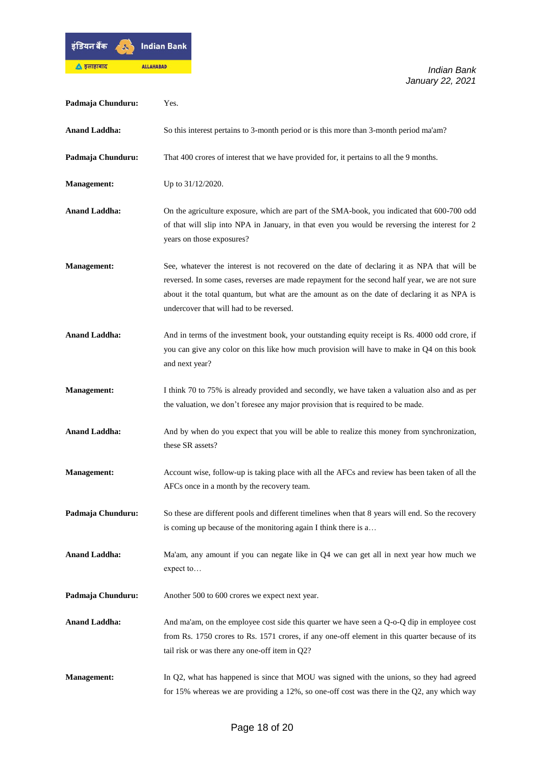

| Padmaja Chunduru:    | Yes.                                                                                                                                                                                                                                                                                                                                      |
|----------------------|-------------------------------------------------------------------------------------------------------------------------------------------------------------------------------------------------------------------------------------------------------------------------------------------------------------------------------------------|
| <b>Anand Laddha:</b> | So this interest pertains to 3-month period or is this more than 3-month period ma'am?                                                                                                                                                                                                                                                    |
| Padmaja Chunduru:    | That 400 crores of interest that we have provided for, it pertains to all the 9 months.                                                                                                                                                                                                                                                   |
| Management:          | Up to 31/12/2020.                                                                                                                                                                                                                                                                                                                         |
| <b>Anand Laddha:</b> | On the agriculture exposure, which are part of the SMA-book, you indicated that 600-700 odd<br>of that will slip into NPA in January, in that even you would be reversing the interest for 2<br>years on those exposures?                                                                                                                 |
| <b>Management:</b>   | See, whatever the interest is not recovered on the date of declaring it as NPA that will be<br>reversed. In some cases, reverses are made repayment for the second half year, we are not sure<br>about it the total quantum, but what are the amount as on the date of declaring it as NPA is<br>undercover that will had to be reversed. |
| <b>Anand Laddha:</b> | And in terms of the investment book, your outstanding equity receipt is Rs. 4000 odd crore, if<br>you can give any color on this like how much provision will have to make in $Q4$ on this book<br>and next year?                                                                                                                         |
| <b>Management:</b>   | I think 70 to 75% is already provided and secondly, we have taken a valuation also and as per<br>the valuation, we don't foresee any major provision that is required to be made.                                                                                                                                                         |
| <b>Anand Laddha:</b> | And by when do you expect that you will be able to realize this money from synchronization,<br>these SR assets?                                                                                                                                                                                                                           |
| <b>Management:</b>   | Account wise, follow-up is taking place with all the AFCs and review has been taken of all the<br>AFCs once in a month by the recovery team.                                                                                                                                                                                              |
| Padmaja Chunduru:    | So these are different pools and different timelines when that 8 years will end. So the recovery<br>is coming up because of the monitoring again I think there is a                                                                                                                                                                       |
| <b>Anand Laddha:</b> | Ma'am, any amount if you can negate like in Q4 we can get all in next year how much we<br>expect to                                                                                                                                                                                                                                       |
| Padmaja Chunduru:    | Another 500 to 600 crores we expect next year.                                                                                                                                                                                                                                                                                            |
| <b>Anand Laddha:</b> | And ma'am, on the employee cost side this quarter we have seen a $Q$ -o- $Q$ dip in employee cost<br>from Rs. 1750 crores to Rs. 1571 crores, if any one-off element in this quarter because of its<br>tail risk or was there any one-off item in Q2?                                                                                     |
| <b>Management:</b>   | In Q2, what has happened is since that MOU was signed with the unions, so they had agreed<br>for 15% whereas we are providing a 12%, so one-off cost was there in the $Q2$ , any which way                                                                                                                                                |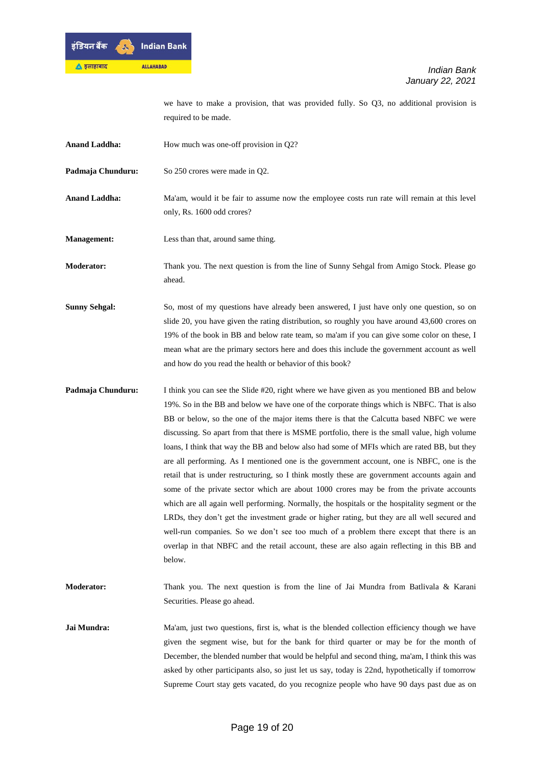

we have to make a provision, that was provided fully. So Q3, no additional provision is required to be made.

- Anand Laddha: How much was one-off provision in Q2?
- Padmaja Chunduru: So 250 crores were made in O2.
- **Anand Laddha:** Ma'am, would it be fair to assume now the employee costs run rate will remain at this level only, Rs. 1600 odd crores?
- **Management:** Less than that, around same thing.

**Moderator:** Thank you. The next question is from the line of Sunny Sehgal from Amigo Stock. Please go ahead.

- **Sunny Sehgal:** So, most of my questions have already been answered, I just have only one question, so on slide 20, you have given the rating distribution, so roughly you have around 43,600 crores on 19% of the book in BB and below rate team, so ma'am if you can give some color on these, I mean what are the primary sectors here and does this include the government account as well and how do you read the health or behavior of this book?
- **Padmaja Chunduru:** I think you can see the Slide #20, right where we have given as you mentioned BB and below 19%. So in the BB and below we have one of the corporate things which is NBFC. That is also BB or below, so the one of the major items there is that the Calcutta based NBFC we were discussing. So apart from that there is MSME portfolio, there is the small value, high volume loans, I think that way the BB and below also had some of MFIs which are rated BB, but they are all performing. As I mentioned one is the government account, one is NBFC, one is the retail that is under restructuring, so I think mostly these are government accounts again and some of the private sector which are about 1000 crores may be from the private accounts which are all again well performing. Normally, the hospitals or the hospitality segment or the LRDs, they don't get the investment grade or higher rating, but they are all well secured and well-run companies. So we don't see too much of a problem there except that there is an overlap in that NBFC and the retail account, these are also again reflecting in this BB and below.

**Moderator:** Thank you. The next question is from the line of Jai Mundra from Batlivala & Karani Securities. Please go ahead.

**Jai Mundra:** Ma'am, just two questions, first is, what is the blended collection efficiency though we have given the segment wise, but for the bank for third quarter or may be for the month of December, the blended number that would be helpful and second thing, ma'am, I think this was asked by other participants also, so just let us say, today is 22nd, hypothetically if tomorrow Supreme Court stay gets vacated, do you recognize people who have 90 days past due as on